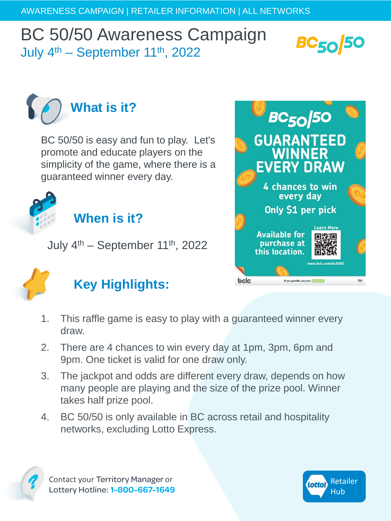## BC 50/50 Awareness Campaign July  $4<sup>th</sup>$  – September 11<sup>th</sup>, 2022





BC 50/50 is easy and fun to play. Let's promote and educate players on the simplicity of the game, where there is a guaranteed winner every day.



**When is it?** 

July  $4<sup>th</sup>$  – September 11<sup>th</sup>, 2022



## **Key Highlights:**



- 1. This raffle game is easy to play with a guaranteed winner every draw.
- 2. There are 4 chances to win every day at 1pm, 3pm, 6pm and 9pm. One ticket is valid for one draw only.
- 3. The jackpot and odds are different every draw, depends on how many people are playing and the size of the prize pool. Winner takes half prize pool.
- 4. BC 50/50 is only available in BC across retail and hospitality networks, excluding Lotto Express.



Contact your Territory Manager or Lottery Hotline: **1-800-667-1649**